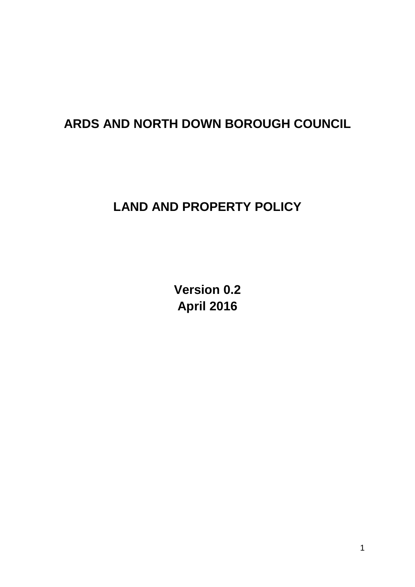# **ARDS AND NORTH DOWN BOROUGH COUNCIL**

# **LAND AND PROPERTY POLICY**

**Version 0.2 April 2016**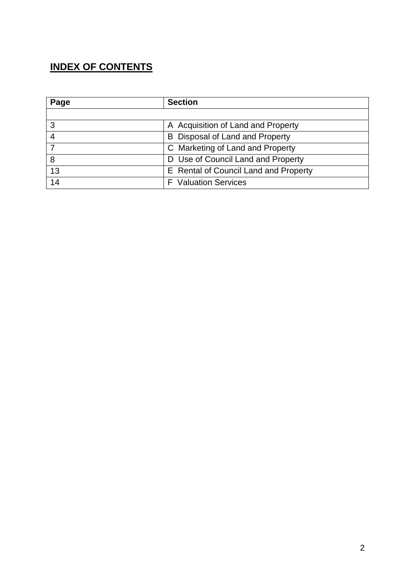## **INDEX OF CONTENTS**

| Page | <b>Section</b>                        |
|------|---------------------------------------|
|      |                                       |
| 3    | A Acquisition of Land and Property    |
|      | B Disposal of Land and Property       |
|      | C Marketing of Land and Property      |
| 8    | D Use of Council Land and Property    |
| 13   | E Rental of Council Land and Property |
| 14   | <b>F</b> Valuation Services           |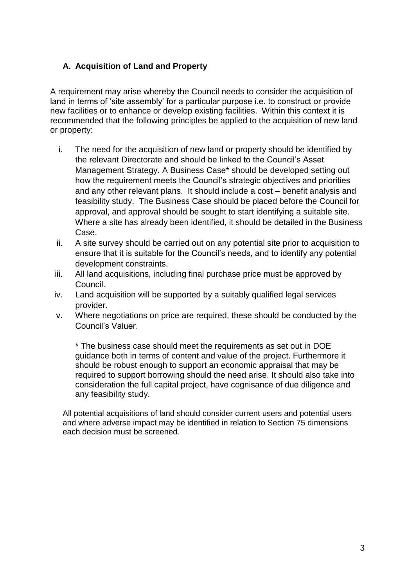### **A. Acquisition of Land and Property**

A requirement may arise whereby the Council needs to consider the acquisition of land in terms of 'site assembly' for a particular purpose i.e. to construct or provide new facilities or to enhance or develop existing facilities. Within this context it is recommended that the following principles be applied to the acquisition of new land or property:

- i. The need for the acquisition of new land or property should be identified by the relevant Directorate and should be linked to the Council's Asset Management Strategy. A Business Case\* should be developed setting out how the requirement meets the Council's strategic objectives and priorities and any other relevant plans. It should include a cost – benefit analysis and feasibility study. The Business Case should be placed before the Council for approval, and approval should be sought to start identifying a suitable site. Where a site has already been identified, it should be detailed in the Business Case.
- ii. A site survey should be carried out on any potential site prior to acquisition to ensure that it is suitable for the Council's needs, and to identify any potential development constraints.
- iii. All land acquisitions, including final purchase price must be approved by Council.
- iv. Land acquisition will be supported by a suitably qualified legal services provider.
- v. Where negotiations on price are required, these should be conducted by the Council's Valuer.

\* The business case should meet the requirements as set out in DOE guidance both in terms of content and value of the project. Furthermore it should be robust enough to support an economic appraisal that may be required to support borrowing should the need arise. It should also take into consideration the full capital project, have cognisance of due diligence and any feasibility study.

All potential acquisitions of land should consider current users and potential users and where adverse impact may be identified in relation to Section 75 dimensions each decision must be screened.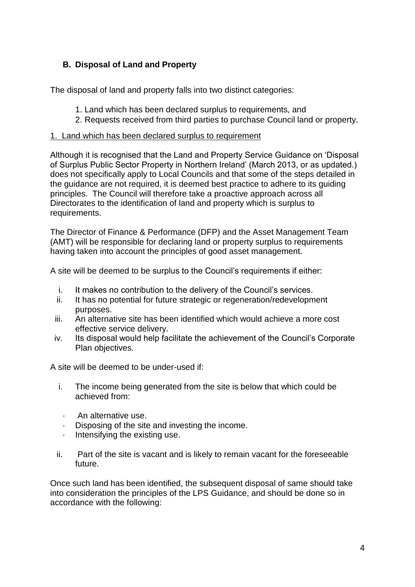## **B. Disposal of Land and Property**

The disposal of land and property falls into two distinct categories:

- 1. Land which has been declared surplus to requirements, and
- 2. Requests received from third parties to purchase Council land or property.

#### 1. Land which has been declared surplus to requirement

Although it is recognised that the Land and Property Service Guidance on 'Disposal of Surplus Public Sector Property in Northern Ireland' (March 2013, or as updated.) does not specifically apply to Local Councils and that some of the steps detailed in the guidance are not required, it is deemed best practice to adhere to its guiding principles. The Council will therefore take a proactive approach across all Directorates to the identification of land and property which is surplus to requirements.

The Director of Finance & Performance (DFP) and the Asset Management Team (AMT) will be responsible for declaring land or property surplus to requirements having taken into account the principles of good asset management.

A site will be deemed to be surplus to the Council's requirements if either:

- i. It makes no contribution to the delivery of the Council's services.
- ii. It has no potential for future strategic or regeneration/redevelopment purposes.
- iii. An alternative site has been identified which would achieve a more cost effective service delivery.
- iv. Its disposal would help facilitate the achievement of the Council's Corporate Plan objectives.

A site will be deemed to be under-used if:

- i. The income being generated from the site is below that which could be achieved from:
	- · An alternative use.
- · Disposing of the site and investing the income.
- · Intensifying the existing use.
- ii. Part of the site is vacant and is likely to remain vacant for the foreseeable future.

Once such land has been identified, the subsequent disposal of same should take into consideration the principles of the LPS Guidance, and should be done so in accordance with the following: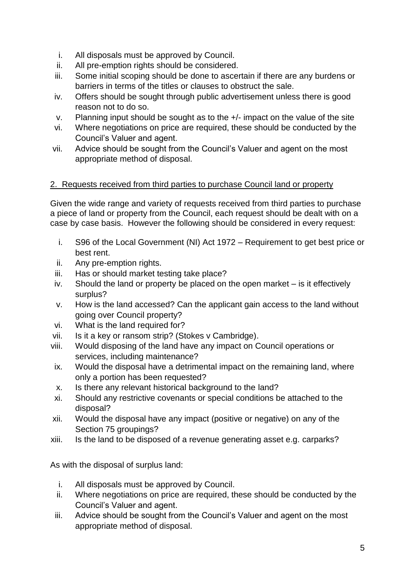- i. All disposals must be approved by Council.
- ii. All pre-emption rights should be considered.
- iii. Some initial scoping should be done to ascertain if there are any burdens or barriers in terms of the titles or clauses to obstruct the sale.
- iv. Offers should be sought through public advertisement unless there is good reason not to do so.
- v. Planning input should be sought as to the +/- impact on the value of the site
- vi. Where negotiations on price are required, these should be conducted by the Council's Valuer and agent.
- vii. Advice should be sought from the Council's Valuer and agent on the most appropriate method of disposal.

#### 2. Requests received from third parties to purchase Council land or property

Given the wide range and variety of requests received from third parties to purchase a piece of land or property from the Council, each request should be dealt with on a case by case basis. However the following should be considered in every request:

- i. S96 of the Local Government (NI) Act 1972 Requirement to get best price or best rent.
- ii. Any pre-emption rights.
- iii. Has or should market testing take place?
- iv. Should the land or property be placed on the open market is it effectively surplus?
- v. How is the land accessed? Can the applicant gain access to the land without going over Council property?
- vi. What is the land required for?
- vii. Is it a key or ransom strip? (Stokes v Cambridge).
- viii. Would disposing of the land have any impact on Council operations or services, including maintenance?
- ix. Would the disposal have a detrimental impact on the remaining land, where only a portion has been requested?
- x. Is there any relevant historical background to the land?
- xi. Should any restrictive covenants or special conditions be attached to the disposal?
- xii. Would the disposal have any impact (positive or negative) on any of the Section 75 groupings?
- xiii. Is the land to be disposed of a revenue generating asset e.g. carparks?

As with the disposal of surplus land:

- i. All disposals must be approved by Council.
- ii. Where negotiations on price are required, these should be conducted by the Council's Valuer and agent.
- iii. Advice should be sought from the Council's Valuer and agent on the most appropriate method of disposal.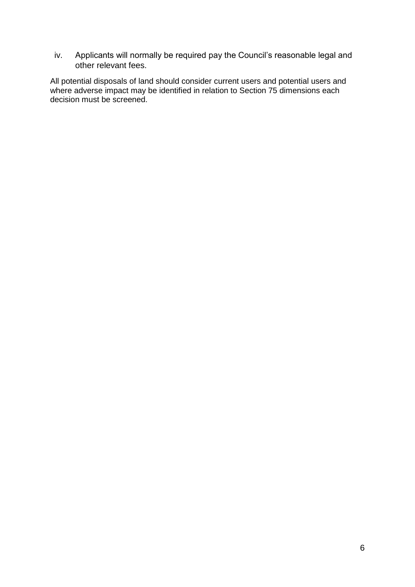iv. Applicants will normally be required pay the Council's reasonable legal and other relevant fees.

All potential disposals of land should consider current users and potential users and where adverse impact may be identified in relation to Section 75 dimensions each decision must be screened.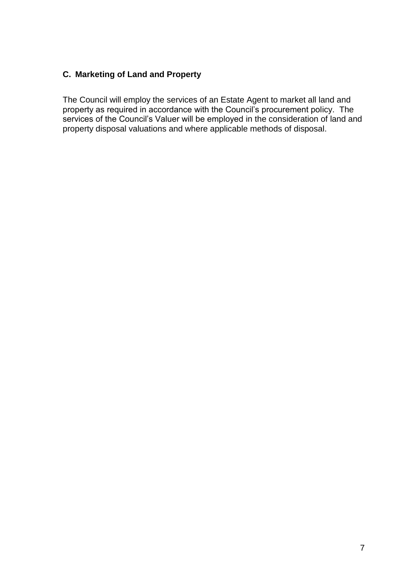## **C. Marketing of Land and Property**

The Council will employ the services of an Estate Agent to market all land and property as required in accordance with the Council's procurement policy. The services of the Council's Valuer will be employed in the consideration of land and property disposal valuations and where applicable methods of disposal.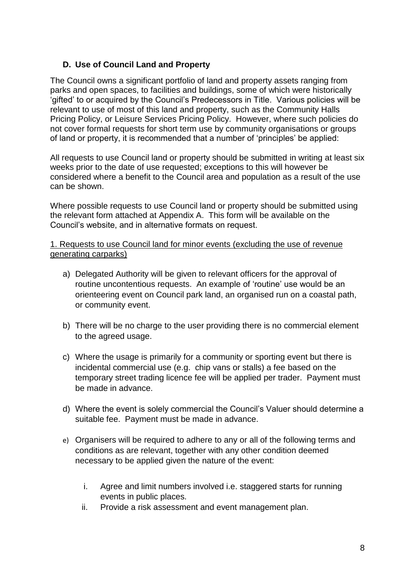#### **D. Use of Council Land and Property**

The Council owns a significant portfolio of land and property assets ranging from parks and open spaces, to facilities and buildings, some of which were historically 'gifted' to or acquired by the Council's Predecessors in Title. Various policies will be relevant to use of most of this land and property, such as the Community Halls Pricing Policy, or Leisure Services Pricing Policy. However, where such policies do not cover formal requests for short term use by community organisations or groups of land or property, it is recommended that a number of 'principles' be applied:

All requests to use Council land or property should be submitted in writing at least six weeks prior to the date of use requested; exceptions to this will however be considered where a benefit to the Council area and population as a result of the use can be shown.

Where possible requests to use Council land or property should be submitted using the relevant form attached at Appendix A. This form will be available on the Council's website, and in alternative formats on request.

#### 1. Requests to use Council land for minor events (excluding the use of revenue generating carparks)

- a) Delegated Authority will be given to relevant officers for the approval of routine uncontentious requests. An example of 'routine' use would be an orienteering event on Council park land, an organised run on a coastal path, or community event.
- b) There will be no charge to the user providing there is no commercial element to the agreed usage.
- c) Where the usage is primarily for a community or sporting event but there is incidental commercial use (e.g. chip vans or stalls) a fee based on the temporary street trading licence fee will be applied per trader. Payment must be made in advance.
- d) Where the event is solely commercial the Council's Valuer should determine a suitable fee. Payment must be made in advance.
- e) Organisers will be required to adhere to any or all of the following terms and conditions as are relevant, together with any other condition deemed necessary to be applied given the nature of the event:
	- i. Agree and limit numbers involved i.e. staggered starts for running events in public places.
	- ii. Provide a risk assessment and event management plan.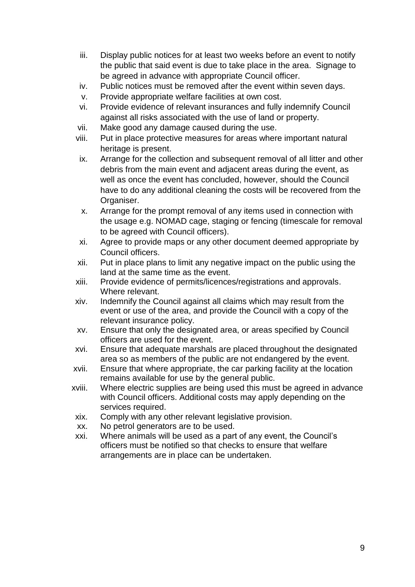- iii. Display public notices for at least two weeks before an event to notify the public that said event is due to take place in the area. Signage to be agreed in advance with appropriate Council officer.
- iv. Public notices must be removed after the event within seven days.
- v. Provide appropriate welfare facilities at own cost.
- vi. Provide evidence of relevant insurances and fully indemnify Council against all risks associated with the use of land or property.
- vii. Make good any damage caused during the use.
- viii. Put in place protective measures for areas where important natural heritage is present.
- ix. Arrange for the collection and subsequent removal of all litter and other debris from the main event and adjacent areas during the event, as well as once the event has concluded, however, should the Council have to do any additional cleaning the costs will be recovered from the Organiser.
- x. Arrange for the prompt removal of any items used in connection with the usage e.g. NOMAD cage, staging or fencing (timescale for removal to be agreed with Council officers).
- xi. Agree to provide maps or any other document deemed appropriate by Council officers.
- xii. Put in place plans to limit any negative impact on the public using the land at the same time as the event.
- xiii. Provide evidence of permits/licences/registrations and approvals. Where relevant.
- xiv. Indemnify the Council against all claims which may result from the event or use of the area, and provide the Council with a copy of the relevant insurance policy.
- xv. Ensure that only the designated area, or areas specified by Council officers are used for the event.
- xvi. Ensure that adequate marshals are placed throughout the designated area so as members of the public are not endangered by the event.
- xvii. Ensure that where appropriate, the car parking facility at the location remains available for use by the general public.
- xviii. Where electric supplies are being used this must be agreed in advance with Council officers. Additional costs may apply depending on the services required.
- xix. Comply with any other relevant legislative provision.
- xx. No petrol generators are to be used.
- xxi. Where animals will be used as a part of any event, the Council's officers must be notified so that checks to ensure that welfare arrangements are in place can be undertaken.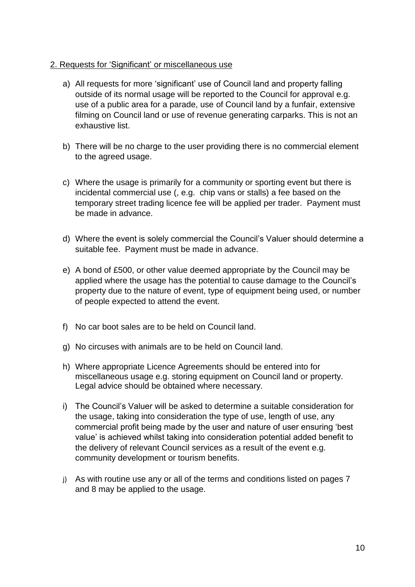#### 2. Requests for 'Significant' or miscellaneous use

- a) All requests for more 'significant' use of Council land and property falling outside of its normal usage will be reported to the Council for approval e.g. use of a public area for a parade, use of Council land by a funfair, extensive filming on Council land or use of revenue generating carparks. This is not an exhaustive list.
- b) There will be no charge to the user providing there is no commercial element to the agreed usage.
- c) Where the usage is primarily for a community or sporting event but there is incidental commercial use (, e.g. chip vans or stalls) a fee based on the temporary street trading licence fee will be applied per trader. Payment must be made in advance.
- d) Where the event is solely commercial the Council's Valuer should determine a suitable fee. Payment must be made in advance.
- e) A bond of £500, or other value deemed appropriate by the Council may be applied where the usage has the potential to cause damage to the Council's property due to the nature of event, type of equipment being used, or number of people expected to attend the event.
- f) No car boot sales are to be held on Council land.
- g) No circuses with animals are to be held on Council land.
- h) Where appropriate Licence Agreements should be entered into for miscellaneous usage e.g. storing equipment on Council land or property. Legal advice should be obtained where necessary.
- i) The Council's Valuer will be asked to determine a suitable consideration for the usage, taking into consideration the type of use, length of use, any commercial profit being made by the user and nature of user ensuring 'best value' is achieved whilst taking into consideration potential added benefit to the delivery of relevant Council services as a result of the event e.g. community development or tourism benefits.
- j) As with routine use any or all of the terms and conditions listed on pages 7 and 8 may be applied to the usage.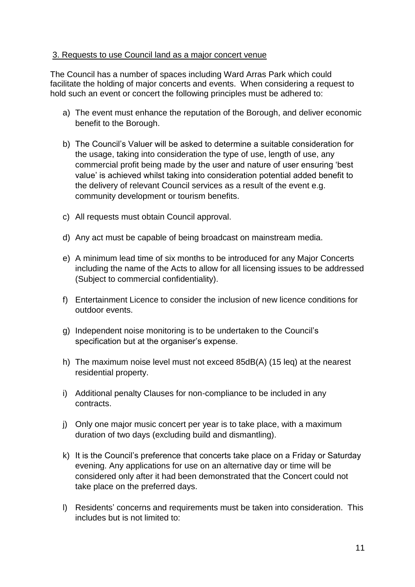#### 3. Requests to use Council land as a major concert venue

The Council has a number of spaces including Ward Arras Park which could facilitate the holding of major concerts and events. When considering a request to hold such an event or concert the following principles must be adhered to:

- a) The event must enhance the reputation of the Borough, and deliver economic benefit to the Borough.
- b) The Council's Valuer will be asked to determine a suitable consideration for the usage, taking into consideration the type of use, length of use, any commercial profit being made by the user and nature of user ensuring 'best value' is achieved whilst taking into consideration potential added benefit to the delivery of relevant Council services as a result of the event e.g. community development or tourism benefits.
- c) All requests must obtain Council approval.
- d) Any act must be capable of being broadcast on mainstream media.
- e) A minimum lead time of six months to be introduced for any Major Concerts including the name of the Acts to allow for all licensing issues to be addressed (Subject to commercial confidentiality).
- f) Entertainment Licence to consider the inclusion of new licence conditions for outdoor events.
- g) Independent noise monitoring is to be undertaken to the Council's specification but at the organiser's expense.
- h) The maximum noise level must not exceed 85dB(A) (15 leq) at the nearest residential property.
- i) Additional penalty Clauses for non-compliance to be included in any contracts.
- j) Only one major music concert per year is to take place, with a maximum duration of two days (excluding build and dismantling).
- k) It is the Council's preference that concerts take place on a Friday or Saturday evening. Any applications for use on an alternative day or time will be considered only after it had been demonstrated that the Concert could not take place on the preferred days.
- l) Residents' concerns and requirements must be taken into consideration. This includes but is not limited to: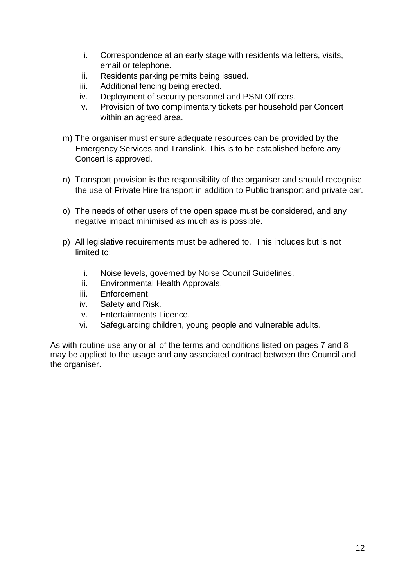- i. Correspondence at an early stage with residents via letters, visits, email or telephone.
- ii. Residents parking permits being issued.
- iii. Additional fencing being erected.
- iv. Deployment of security personnel and PSNI Officers.
- v. Provision of two complimentary tickets per household per Concert within an agreed area.
- m) The organiser must ensure adequate resources can be provided by the Emergency Services and Translink. This is to be established before any Concert is approved.
- n) Transport provision is the responsibility of the organiser and should recognise the use of Private Hire transport in addition to Public transport and private car.
- o) The needs of other users of the open space must be considered, and any negative impact minimised as much as is possible.
- p) All legislative requirements must be adhered to. This includes but is not limited to:
	- i. Noise levels, governed by Noise Council Guidelines.
	- ii. Environmental Health Approvals.
	- iii. Enforcement.
	- iv. Safety and Risk.
	- v. Entertainments Licence.
	- vi. Safeguarding children, young people and vulnerable adults.

As with routine use any or all of the terms and conditions listed on pages 7 and 8 may be applied to the usage and any associated contract between the Council and the organiser.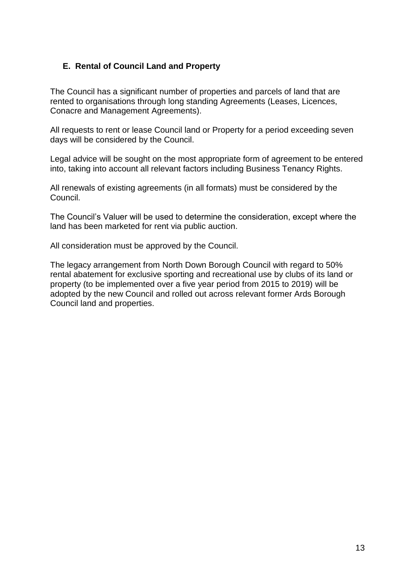#### **E. Rental of Council Land and Property**

The Council has a significant number of properties and parcels of land that are rented to organisations through long standing Agreements (Leases, Licences, Conacre and Management Agreements).

All requests to rent or lease Council land or Property for a period exceeding seven days will be considered by the Council.

Legal advice will be sought on the most appropriate form of agreement to be entered into, taking into account all relevant factors including Business Tenancy Rights.

All renewals of existing agreements (in all formats) must be considered by the Council.

The Council's Valuer will be used to determine the consideration, except where the land has been marketed for rent via public auction.

All consideration must be approved by the Council.

The legacy arrangement from North Down Borough Council with regard to 50% rental abatement for exclusive sporting and recreational use by clubs of its land or property (to be implemented over a five year period from 2015 to 2019) will be adopted by the new Council and rolled out across relevant former Ards Borough Council land and properties.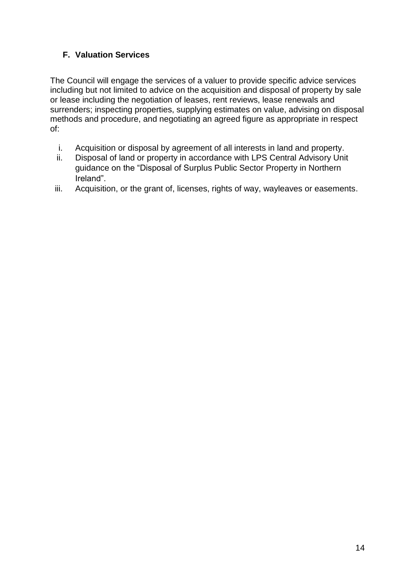## **F. Valuation Services**

The Council will engage the services of a valuer to provide specific advice services including but not limited to advice on the acquisition and disposal of property by sale or lease including the negotiation of leases, rent reviews, lease renewals and surrenders; inspecting properties, supplying estimates on value, advising on disposal methods and procedure, and negotiating an agreed figure as appropriate in respect of:

- i. Acquisition or disposal by agreement of all interests in land and property.
- ii. Disposal of land or property in accordance with LPS Central Advisory Unit guidance on the "Disposal of Surplus Public Sector Property in Northern Ireland".
- iii. Acquisition, or the grant of, licenses, rights of way, wayleaves or easements.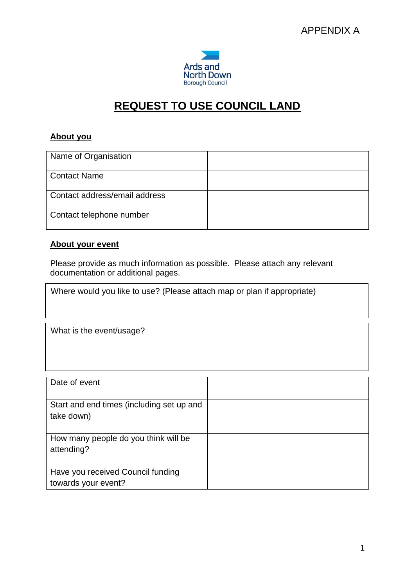

## **REQUEST TO USE COUNCIL LAND**

## **About you**

| Name of Organisation          |  |
|-------------------------------|--|
| <b>Contact Name</b>           |  |
| Contact address/email address |  |
| Contact telephone number      |  |

#### **About your event**

Please provide as much information as possible. Please attach any relevant documentation or additional pages.

Where would you like to use? (Please attach map or plan if appropriate)

What is the event/usage?

| Date of event                                            |  |
|----------------------------------------------------------|--|
| Start and end times (including set up and<br>take down)  |  |
| How many people do you think will be<br>attending?       |  |
| Have you received Council funding<br>towards your event? |  |